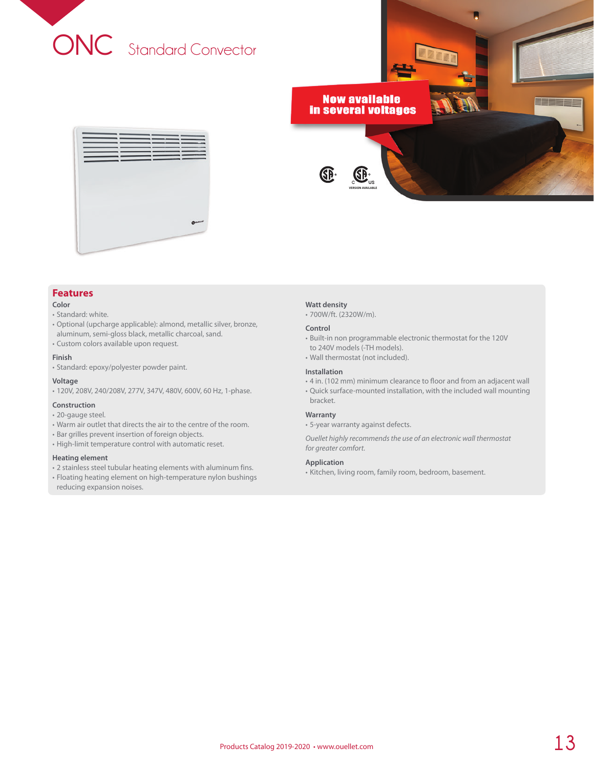

## **Features**

## **Color**

## • Standard: white.

- Optional (upcharge applicable): almond, metallic silver, bronze, aluminum, semi-gloss black, metallic charcoal, sand.
- Custom colors available upon request.

## **Finish**

• Standard: epoxy/polyester powder paint.

## **Voltage**

• 120V, 208V, 240/208V, 277V, 347V, 480V, 600V, 60 Hz, 1-phase.

## **Construction**

- 20-gauge steel.
- Warm air outlet that directs the air to the centre of the room.
- Bar grilles prevent insertion of foreign objects.
- High-limit temperature control with automatic reset.

## **Heating element**

- 2 stainless steel tubular heating elements with aluminum fins.
- Floating heating element on high-temperature nylon bushings reducing expansion noises.

#### **Watt density**

• 700W/ft. (2320W/m).

#### **Control**

- Built-in non programmable electronic thermostat for the 120V to 240V models (-TH models).
- Wall thermostat (not included).

## **Installation**

- 4 in. (102 mm) minimum clearance to floor and from an adjacent wall
- Quick surface-mounted installation, with the included wall mounting bracket.

## **Warranty**

• 5-year warranty against defects.

*Ouellet highly recommends the use of an electronic wall thermostat for greater comfort.*

## **Application**

• Kitchen, living room, family room, bedroom, basement.